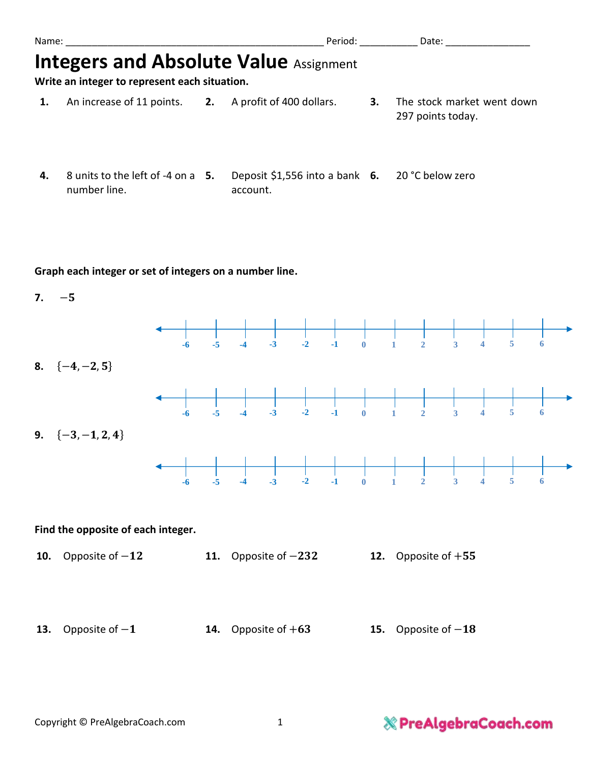| Name:                                                                                          |                                                       |  | Period:                                         |    | Date:                                           |  |  |  |  |  |
|------------------------------------------------------------------------------------------------|-------------------------------------------------------|--|-------------------------------------------------|----|-------------------------------------------------|--|--|--|--|--|
| <b>Integers and Absolute Value Assignment</b><br>Write an integer to represent each situation. |                                                       |  |                                                 |    |                                                 |  |  |  |  |  |
| 1.                                                                                             | An increase of 11 points. 2. A profit of 400 dollars. |  |                                                 | З. | The stock market went down<br>297 points today. |  |  |  |  |  |
| 4.                                                                                             | 8 units to the left of -4 on a 5.                     |  | Deposit \$1,556 into a bank 6. 20 °C below zero |    |                                                 |  |  |  |  |  |

account.

#### **Graph each integer or set of integers on a number line.**

number line.

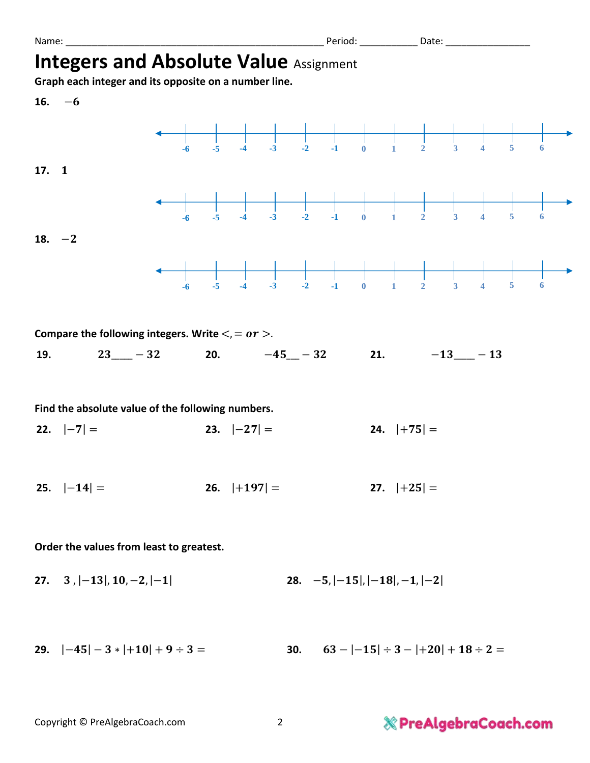|  | Name: |
|--|-------|
|  |       |

Name: \_\_\_\_\_\_\_\_\_\_\_\_\_\_\_\_\_\_\_\_\_\_\_\_\_\_\_\_\_\_\_\_\_\_\_\_\_\_\_\_\_\_\_\_\_\_\_\_\_ Period: \_\_\_\_\_\_\_\_\_\_\_ Date: \_\_\_\_\_\_\_\_\_\_\_\_\_\_\_\_

## **Integers and Absolute Value Assignment**

**Graph each integer and its opposite on a number line.**

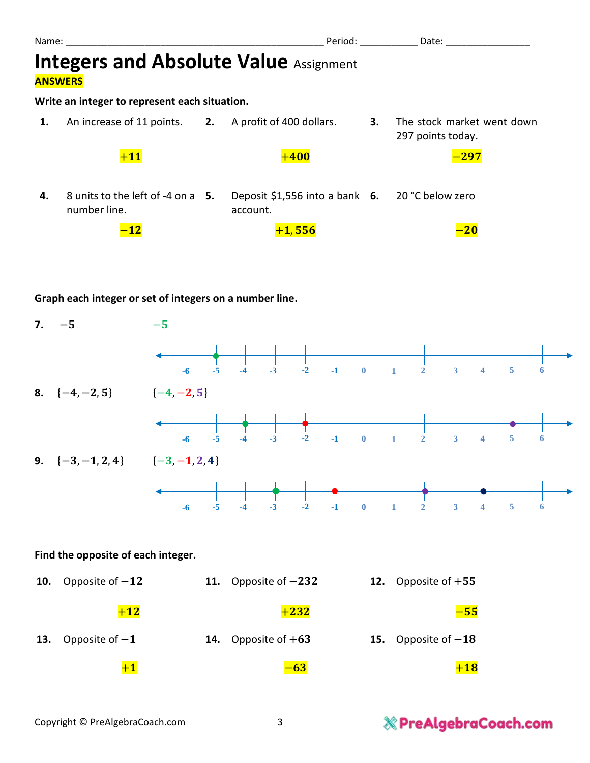| Name:                                                           |                                                       |  | Period:                                                     |    | Date:                                           |  |  |  |  |  |  |
|-----------------------------------------------------------------|-------------------------------------------------------|--|-------------------------------------------------------------|----|-------------------------------------------------|--|--|--|--|--|--|
| <b>Integers and Absolute Value Assignment</b><br><b>ANSWERS</b> |                                                       |  |                                                             |    |                                                 |  |  |  |  |  |  |
| Write an integer to represent each situation.                   |                                                       |  |                                                             |    |                                                 |  |  |  |  |  |  |
| 1.                                                              | An increase of 11 points. 2. A profit of 400 dollars. |  |                                                             | 3. | The stock market went down<br>297 points today. |  |  |  |  |  |  |
|                                                                 | $+11$                                                 |  | $+400$                                                      |    | $-\overline{297}$                               |  |  |  |  |  |  |
| 4.                                                              | 8 units to the left of -4 on a 5.<br>number line.     |  | Deposit \$1,556 into a bank 6. 20 °C below zero<br>account. |    |                                                 |  |  |  |  |  |  |
|                                                                 |                                                       |  | $+1,556$                                                    |    |                                                 |  |  |  |  |  |  |

#### **Graph each integer or set of integers on a number line.**

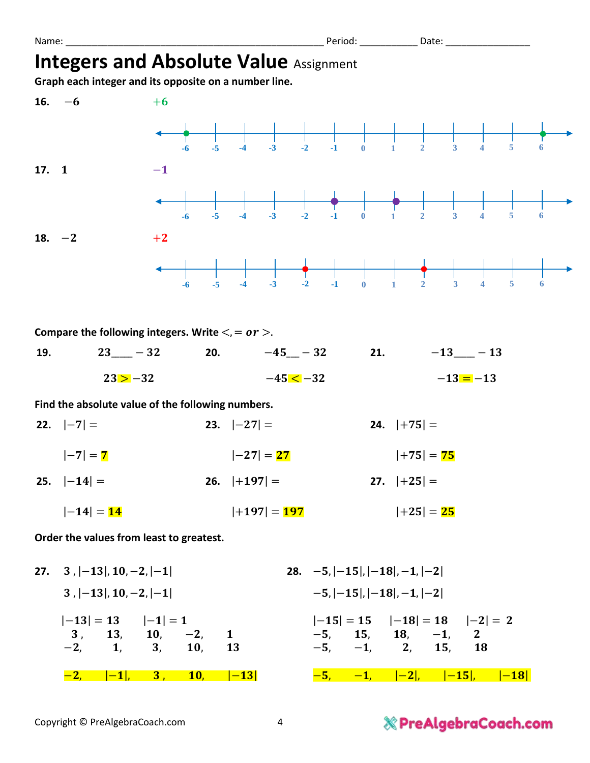Name: \_\_\_\_\_\_\_\_\_\_\_\_\_\_\_\_\_\_\_\_\_\_\_\_\_\_\_\_\_\_\_\_\_\_\_\_\_\_\_\_\_\_\_\_\_\_\_\_\_ Period: \_\_\_\_\_\_\_\_\_\_\_ Date: \_\_\_\_\_\_\_\_\_\_\_\_\_\_\_\_

## **Integers and Absolute Value Assignment**

**Graph each integer and its opposite on a number line.**